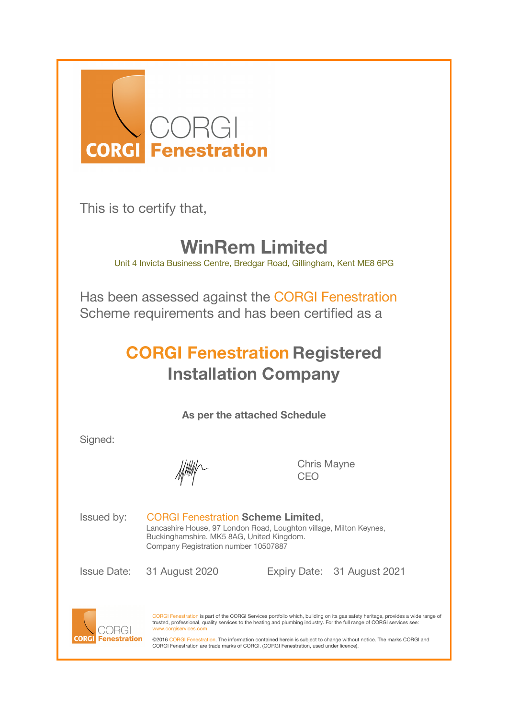

This is to certify that,

## **WinRem Limited**

Unit 4 Invicta Business Centre, Bredgar Road, Gillingham, Kent ME8 6PG

Has been assessed against the CORGI Fenestration Scheme requirements and has been certified as a

## **CORGI Fenestration Registered Installation Company**

**As per the attached Schedule**

Signed:

Chris Mayne CEO

Issued by: CORGI Fenestration **Scheme Limited**, Lancashire House, 97 London Road, Loughton village, Milton Keynes, Buckinghamshire. MK5 8AG, United Kingdom. Company Registration number 10507887

Issue Date: 31 August 2020 Expiry Date: 31 August 2021



CORGI Fenestration is part of the CORGI Services portfolio which, building on its gas safety heritage, provides a wide range of<br>trusted, professional, quality services to the heating and plumbing industry. For the full ran www.corgiservices.com

©2016 CORGI Fenestration. The information contained herein is subject to change without notice. The marks CORGI and CORGI Fenestration are trade marks of CORGI. (CORGI Fenestration, used under licence).